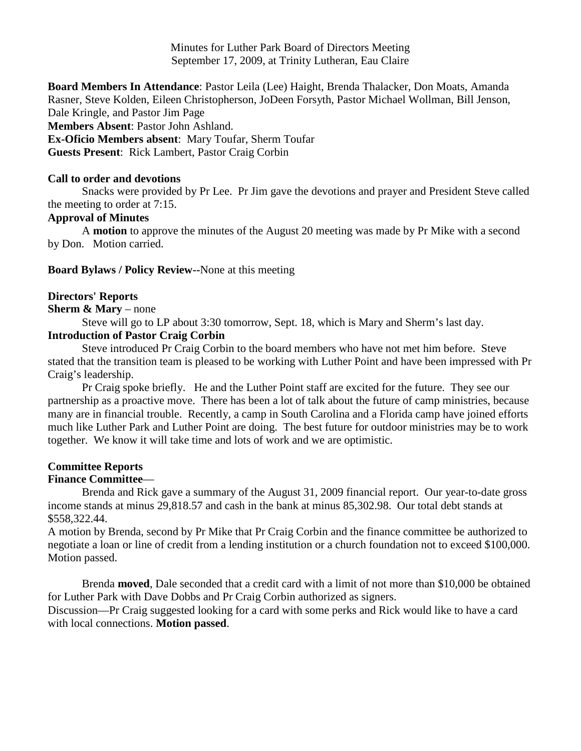Minutes for Luther Park Board of Directors Meeting September 17, 2009, at Trinity Lutheran, Eau Claire

**Board Members In Attendance**: Pastor Leila (Lee) Haight, Brenda Thalacker, Don Moats, Amanda Rasner, Steve Kolden, Eileen Christopherson, JoDeen Forsyth, Pastor Michael Wollman, Bill Jenson, Dale Kringle, and Pastor Jim Page **Members Absent**: Pastor John Ashland. **Ex-Oficio Members absent**: Mary Toufar, Sherm Toufar **Guests Present**: Rick Lambert, Pastor Craig Corbin

#### **Call to order and devotions**

Snacks were provided by Pr Lee. Pr Jim gave the devotions and prayer and President Steve called the meeting to order at 7:15.

### **Approval of Minutes**

A **motion** to approve the minutes of the August 20 meeting was made by Pr Mike with a second by Don. Motion carried.

**Board Bylaws / Policy Review--**None at this meeting

#### **Directors' Reports**

#### **Sherm & Mary** – none

Steve will go to LP about 3:30 tomorrow, Sept. 18, which is Mary and Sherm's last day.

### **Introduction of Pastor Craig Corbin**

Steve introduced Pr Craig Corbin to the board members who have not met him before. Steve stated that the transition team is pleased to be working with Luther Point and have been impressed with Pr Craig's leadership.

Pr Craig spoke briefly. He and the Luther Point staff are excited for the future. They see our partnership as a proactive move. There has been a lot of talk about the future of camp ministries, because many are in financial trouble. Recently, a camp in South Carolina and a Florida camp have joined efforts much like Luther Park and Luther Point are doing. The best future for outdoor ministries may be to work together. We know it will take time and lots of work and we are optimistic.

#### **Committee Reports Finance Committee**—

Brenda and Rick gave a summary of the August 31, 2009 financial report. Our year-to-date gross income stands at minus 29,818.57 and cash in the bank at minus 85,302.98. Our total debt stands at \$558,322.44.

A motion by Brenda, second by Pr Mike that Pr Craig Corbin and the finance committee be authorized to negotiate a loan or line of credit from a lending institution or a church foundation not to exceed \$100,000. Motion passed.

Brenda **moved**, Dale seconded that a credit card with a limit of not more than \$10,000 be obtained for Luther Park with Dave Dobbs and Pr Craig Corbin authorized as signers.

Discussion—Pr Craig suggested looking for a card with some perks and Rick would like to have a card with local connections. **Motion passed**.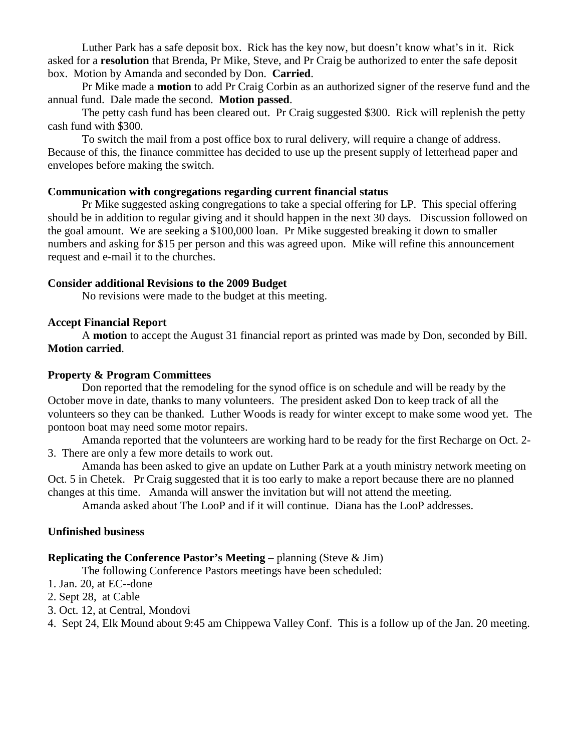Luther Park has a safe deposit box. Rick has the key now, but doesn't know what's in it. Rick asked for a **resolution** that Brenda, Pr Mike, Steve, and Pr Craig be authorized to enter the safe deposit box. Motion by Amanda and seconded by Don. **Carried**.

Pr Mike made a **motion** to add Pr Craig Corbin as an authorized signer of the reserve fund and the annual fund. Dale made the second. **Motion passed**.

The petty cash fund has been cleared out. Pr Craig suggested \$300. Rick will replenish the petty cash fund with \$300.

To switch the mail from a post office box to rural delivery, will require a change of address. Because of this, the finance committee has decided to use up the present supply of letterhead paper and envelopes before making the switch.

# **Communication with congregations regarding current financial status**

Pr Mike suggested asking congregations to take a special offering for LP. This special offering should be in addition to regular giving and it should happen in the next 30 days. Discussion followed on the goal amount. We are seeking a \$100,000 loan. Pr Mike suggested breaking it down to smaller numbers and asking for \$15 per person and this was agreed upon. Mike will refine this announcement request and e-mail it to the churches.

# **Consider additional Revisions to the 2009 Budget**

No revisions were made to the budget at this meeting.

### **Accept Financial Report**

A **motion** to accept the August 31 financial report as printed was made by Don, seconded by Bill. **Motion carried**.

### **Property & Program Committees**

Don reported that the remodeling for the synod office is on schedule and will be ready by the October move in date, thanks to many volunteers. The president asked Don to keep track of all the volunteers so they can be thanked. Luther Woods is ready for winter except to make some wood yet. The pontoon boat may need some motor repairs.

Amanda reported that the volunteers are working hard to be ready for the first Recharge on Oct. 2- 3. There are only a few more details to work out.

Amanda has been asked to give an update on Luther Park at a youth ministry network meeting on Oct. 5 in Chetek. Pr Craig suggested that it is too early to make a report because there are no planned changes at this time. Amanda will answer the invitation but will not attend the meeting.

Amanda asked about The LooP and if it will continue. Diana has the LooP addresses.

# **Unfinished business**

# **Replicating the Conference Pastor's Meeting** – planning (Steve & Jim)

The following Conference Pastors meetings have been scheduled:

1. Jan. 20, at EC--done

- 2. Sept 28, at Cable
- 3. Oct. 12, at Central, Mondovi

4. Sept 24, Elk Mound about 9:45 am Chippewa Valley Conf. This is a follow up of the Jan. 20 meeting.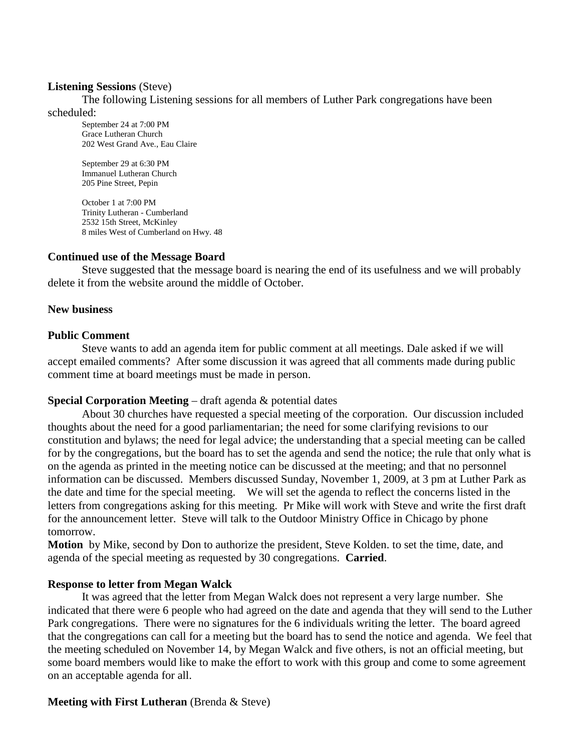#### **Listening Sessions** (Steve)

The following Listening sessions for all members of Luther Park congregations have been scheduled:

September 24 at 7:00 PM Grace Lutheran Church 202 West Grand Ave., Eau Claire

September 29 at 6:30 PM Immanuel Lutheran Church 205 Pine Street, Pepin

October 1 at 7:00 PM Trinity Lutheran - Cumberland 2532 15th Street, McKinley 8 miles West of Cumberland on Hwy. 48

### **Continued use of the Message Board**

Steve suggested that the message board is nearing the end of its usefulness and we will probably delete it from the website around the middle of October.

### **New business**

### **Public Comment**

Steve wants to add an agenda item for public comment at all meetings. Dale asked if we will accept emailed comments? After some discussion it was agreed that all comments made during public comment time at board meetings must be made in person.

#### **Special Corporation Meeting** – draft agenda & potential dates

About 30 churches have requested a special meeting of the corporation. Our discussion included thoughts about the need for a good parliamentarian; the need for some clarifying revisions to our constitution and bylaws; the need for legal advice; the understanding that a special meeting can be called for by the congregations, but the board has to set the agenda and send the notice; the rule that only what is on the agenda as printed in the meeting notice can be discussed at the meeting; and that no personnel information can be discussed. Members discussed Sunday, November 1, 2009, at 3 pm at Luther Park as the date and time for the special meeting. We will set the agenda to reflect the concerns listed in the letters from congregations asking for this meeting. Pr Mike will work with Steve and write the first draft for the announcement letter. Steve will talk to the Outdoor Ministry Office in Chicago by phone tomorrow.

**Motion** by Mike, second by Don to authorize the president, Steve Kolden. to set the time, date, and agenda of the special meeting as requested by 30 congregations. **Carried**.

#### **Response to letter from Megan Walck**

It was agreed that the letter from Megan Walck does not represent a very large number. She indicated that there were 6 people who had agreed on the date and agenda that they will send to the Luther Park congregations. There were no signatures for the 6 individuals writing the letter. The board agreed that the congregations can call for a meeting but the board has to send the notice and agenda. We feel that the meeting scheduled on November 14, by Megan Walck and five others, is not an official meeting, but some board members would like to make the effort to work with this group and come to some agreement on an acceptable agenda for all.

# **Meeting with First Lutheran** (Brenda & Steve)